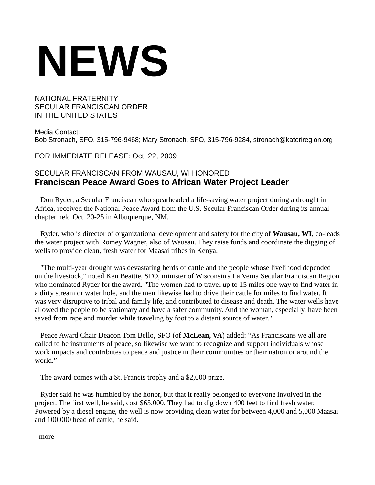## **NEWS**

## NATIONAL FRATERNITY SECULAR FRANCISCAN ORDER IN THE UNITED STATES

Media Contact: Bob Stronach, SFO, 315-796-9468; Mary Stronach, SFO, 315-796-9284, stronach@kateriregion.org

FOR IMMEDIATE RELEASE: Oct. 22, 2009

## SECULAR FRANCISCAN FROM WAUSAU, WI HONORED **Franciscan Peace Award Goes to African Water Project Leader**

Don Ryder, a Secular Franciscan who spearheaded a life-saving water project during a drought in Africa, received the National Peace Award from the U.S. Secular Franciscan Order during its annual chapter held Oct. 20-25 in Albuquerque, NM.

Ryder, who is director of organizational development and safety for the city of **Wausau, WI**, co-leads the water project with Romey Wagner, also of Wausau. They raise funds and coordinate the digging of wells to provide clean, fresh water for Maasai tribes in Kenya.

"The multi-year drought was devastating herds of cattle and the people whose livelihood depended on the livestock," noted Ken Beattie, SFO, minister of Wisconsin's La Verna Secular Franciscan Region who nominated Ryder for the award. "The women had to travel up to 15 miles one way to find water in a dirty stream or water hole, and the men likewise had to drive their cattle for miles to find water. It was very disruptive to tribal and family life, and contributed to disease and death. The water wells have allowed the people to be stationary and have a safer community. And the woman, especially, have been saved from rape and murder while traveling by foot to a distant source of water."

Peace Award Chair Deacon Tom Bello, SFO (of **McLean, VA**) added: "As Franciscans we all are called to be instruments of peace, so likewise we want to recognize and support individuals whose work impacts and contributes to peace and justice in their communities or their nation or around the world."

The award comes with a St. Francis trophy and a \$2,000 prize.

Ryder said he was humbled by the honor, but that it really belonged to everyone involved in the project. The first well, he said, cost \$65,000. They had to dig down 400 feet to find fresh water. Powered by a diesel engine, the well is now providing clean water for between 4,000 and 5,000 Maasai and 100,000 head of cattle, he said.

- more -